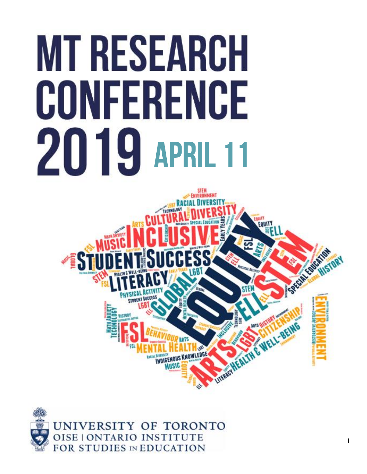# **MT RESEARCH** CONFERENCE **2019 APRIL 11**





[Return to Table of Contents](#page-2-0) | 1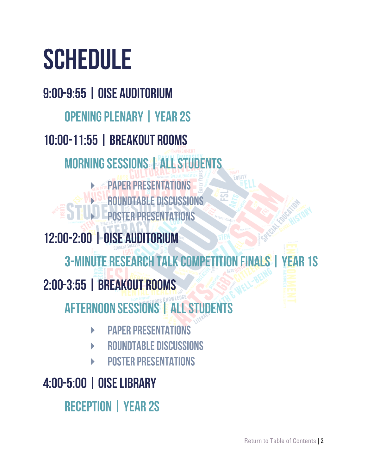# **SCHEDULE**

9:00-9:55 | OISE AUDITORIUM **OPENING PLENARY | YEAR 2S** 10:00-11:55 | BREAKOUT ROOMS **MORNING SESSIONS ALL STUDENTS** MATE **PAPER PRESENTATIONS ROUNDTABLE DISCUSSIONS** P **POSTER PRESENTATIONS** LL. 12:00-2:00 | OISE AUDITORIUM **3-MINUTE RESEARCH TALK COMPETITIO** N FIN **YEAR 1S** 2:00-3:55 | BREAKOUT ROOMS **AFTERNOON SESSIONS ALL STUDENTS PAPER PRESENTATIONS** 

- **ROUNDTABLE DISCUSSIONS**
- **POSTER PRESENTATIONS**

#### 4:00-5:00 | OISE LIBRARY

**RECEPTION | YEAR 2S**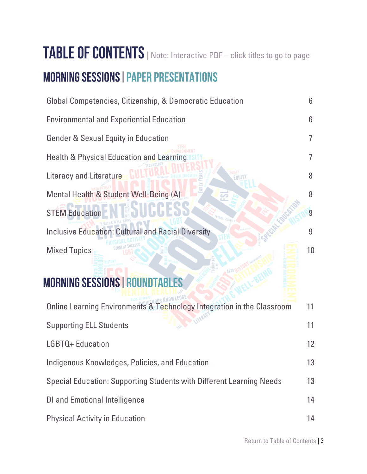## <span id="page-2-0"></span>TABLE OF CONTENTS | Note: Interactive PDF – click titles to go to page

#### **MORNING SESSIONS | PAPER PRESENTATIONS**

| Global Competencies, Citizenship, & Democratic Education                    | 6  |
|-----------------------------------------------------------------------------|----|
| <b>Environmental and Experiential Education</b>                             | 6  |
| <b>Gender &amp; Sexual Equity in Education</b>                              | 7  |
| <b>Health &amp; Physical Education and Learning</b>                         | 7  |
| Literacy and Literature                                                     | 8  |
| Mental Health & Student Well-Being (A)                                      | 8  |
| <b>STEM Education</b>                                                       | 9  |
| <b>Inclusive Education: Cultural and Racial Diversity</b>                   | 9  |
| <b>Mixed Topics</b>                                                         | 10 |
| <b>MORNING SESSIONS   ROUNDTABLES</b>                                       |    |
| Online Learning Environments & Technology Integration in the Classroom      | 11 |
| <b>Supporting ELL Students</b>                                              | 11 |
| LGBTQ+ Education                                                            | 12 |
| Indigenous Knowledges, Policies, and Education                              | 13 |
| <b>Special Education: Supporting Students with Different Learning Needs</b> | 13 |
| <b>DI and Emotional Intelligence</b>                                        | 14 |
| <b>Physical Activity in Education</b>                                       | 14 |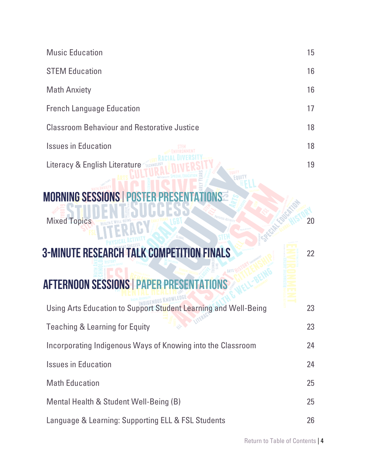| <b>Music Education</b>                                          | 15 |
|-----------------------------------------------------------------|----|
| <b>STEM Education</b>                                           | 16 |
| <b>Math Anxiety</b>                                             | 16 |
| <b>French Language Education</b>                                | 17 |
| <b>Classroom Behaviour and Restorative Justice</b>              | 18 |
| <b>Issues in Education</b>                                      | 18 |
| Literacy & English Literature                                   | 19 |
| <b>MORNING SESSIONS   POST</b>                                  |    |
| <b>Mixed Topics</b>                                             | 20 |
| <b>3-MINUTE RESEARCH TALK COMPETITION FINALS</b>                | 22 |
| <b>AFTERNOON SESSIONS   PAPER PRESENTAT</b><br>ONS              |    |
| Using Arts Education to Support Student Learning and Well-Being | 23 |
| CLA TITERAGY<br><b>Teaching &amp; Learning for Equity</b>       | 23 |
| Incorporating Indigenous Ways of Knowing into the Classroom     | 24 |
| <b>Issues in Education</b>                                      | 24 |
| <b>Math Education</b>                                           | 25 |
| Mental Health & Student Well-Being (B)                          | 25 |
| Language & Learning: Supporting ELL & FSL Students              | 26 |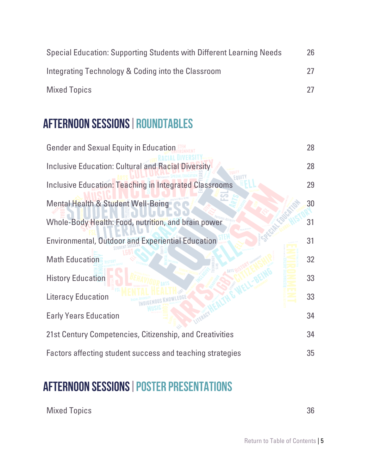| Special Education: Supporting Students with Different Learning Needs | 26 |
|----------------------------------------------------------------------|----|
| Integrating Technology & Coding into the Classroom                   |    |
| <b>Mixed Topics</b>                                                  |    |

#### **AFTERNOON SESSIONS | ROUNDTABLES**

| <b>Gender and Sexual Equity in Education</b>                  | 28 |
|---------------------------------------------------------------|----|
| <b>Inclusive Education: Cultural and Racial Diversity</b>     | 28 |
| <b>Inclusive Education: Teaching in Integrated Classrooms</b> | 29 |
| <b>Mental Health &amp; Student Well-Being</b>                 | 30 |
| Whole-Body Health: Food, nutrition, and brain power           | 31 |
| <b>Environmental, Outdoor and Experiential Education</b>      | 31 |
| <b>Math Education</b>                                         | 32 |
| <b>History Education</b>                                      | 33 |
| <b>Literacy Education</b>                                     | 33 |
| <b>Early Years Education</b>                                  | 34 |
| 21st Century Competencies, Citizenship, and Creativities      | 34 |
| Factors affecting student success and teaching strategies     | 35 |

#### **AFTERNOON SESSIONS | POSTER PRESENTATIONS**

[Mixed Topics](#page-35-0) 36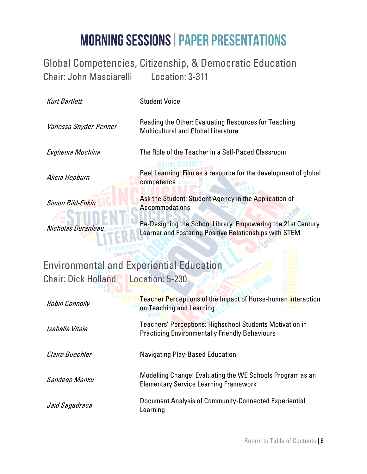#### <span id="page-5-0"></span>Global Competencies, Citizenship, & Democratic Education Chair: John Masciarelli Location: 3-311

<span id="page-5-1"></span>

| <b>Kurt Bartlett</b>                            | <b>Student Voice</b>                                                                                                   |
|-------------------------------------------------|------------------------------------------------------------------------------------------------------------------------|
| Vanessa Snyder-Penner                           | Reading the Other: Evaluating Resources for Teaching<br><b>Multicultural and Global Literature</b>                     |
| Evghenia Mochina                                | The Role of the Teacher in a Self-Paced Classroom                                                                      |
| Alicia Hepburn                                  | Reel Learning: Film as a resource for the development of global<br>competence                                          |
| Simon Bild-Enkin                                | Ask the Student: Student Agency in the Application of<br><b>Accommodations</b>                                         |
| Nicholas Duranleau                              | Re-Designing the School Library: Empowering the 21st Century<br>Learner and Fostering Positive Relationships with STEM |
|                                                 |                                                                                                                        |
| <b>Environmental and Experiential Education</b> |                                                                                                                        |
| <b>Chair: Dick Holland</b>                      | Location: 5-230                                                                                                        |
|                                                 |                                                                                                                        |
| <b>Robin Connolly</b>                           | Teacher Perceptions of the Impact of Horse-human interaction<br>on Teaching and Learning                               |
| Isabella Vitale                                 | Teachers' Perceptions: Highschool Students Motivation in<br><b>Practicing Environmentally Friendly Behaviours</b>      |
| Claire Buechler                                 | <b>Navigating Play-Based Education</b>                                                                                 |
| Sandeep Manku                                   | Modelling Change: Evaluating the WE Schools Program as an<br><b>Elementary Service Learning Framework</b>              |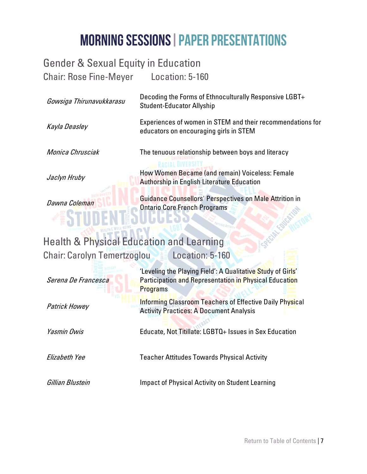<span id="page-6-1"></span><span id="page-6-0"></span>

| <b>Gender &amp; Sexual Equity in Education</b>      |                                                                                                                                                 |
|-----------------------------------------------------|-------------------------------------------------------------------------------------------------------------------------------------------------|
| <b>Chair: Rose Fine-Meyer Location: 5-160</b>       |                                                                                                                                                 |
| Gowsiga Thirunavukkarasu                            | Decoding the Forms of Ethnoculturally Responsive LGBT+<br><b>Student-Educator Allyship</b>                                                      |
| Kayla Deasley                                       | Experiences of women in STEM and their recommendations for<br>educators on encouraging girls in STEM                                            |
| Monica Chrusciak                                    | The tenuous relationship between boys and literacy                                                                                              |
| Jaclyn Hruby                                        | How Women Became (and remain) Voiceless: Female<br><b>Authorship in English Literature Education</b>                                            |
| Dawna Coleman                                       | Guidance Counsellors' Perspectives on Male Attrition in<br><b>Ontario Core French Programs</b>                                                  |
| <b>Health &amp; Physical Education and Learning</b> |                                                                                                                                                 |
| <b>Chair: Carolyn Temertzoglou</b>                  | Location: 5-160                                                                                                                                 |
| Serena De Francesca                                 | 'Leveling the Playing Field': A Qualitative Study of Girls'<br><b>Participation and Representation in Physical Education</b><br><b>Programs</b> |
| Patrick Howey                                       | Informing Classroom Teachers of Effective Daily Physical<br><b>Activity Practices: A Document Analysis</b>                                      |
| Yasmin Owis                                         | Educate, Not Titillate: LGBTQ+ Issues in Sex Education                                                                                          |
| Elizabeth Yee                                       | <b>Teacher Attitudes Towards Physical Activity</b>                                                                                              |
| Gillian Blustein                                    | <b>Impact of Physical Activity on Student Learning</b>                                                                                          |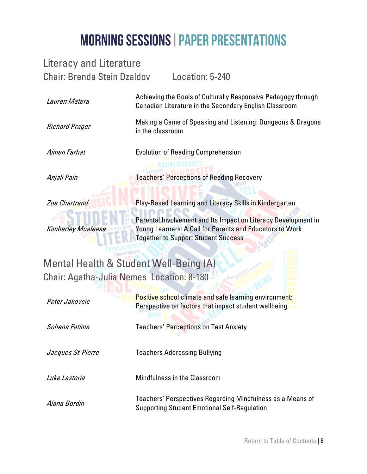<span id="page-7-1"></span><span id="page-7-0"></span>

| <b>Literacy and Literature</b>            |                                                                                                                                                                          |
|-------------------------------------------|--------------------------------------------------------------------------------------------------------------------------------------------------------------------------|
| <b>Chair: Brenda Stein Dzaldov</b>        | Location: 5-240                                                                                                                                                          |
| Lauren Matera                             | Achieving the Goals of Culturally Responsive Pedagogy through<br><b>Canadian Literature in the Secondary English Classroom</b>                                           |
| <b>Richard Prager</b>                     | Making a Game of Speaking and Listening: Dungeons & Dragons<br>in the classroom                                                                                          |
| Aimen Farhat                              | <b>Evolution of Reading Comprehension</b>                                                                                                                                |
| Anjali Pain                               | <b>Teachers' Perceptions of Reading Recovery</b>                                                                                                                         |
| <b>Zoe Chartrand</b>                      | Play-Based Learning and Literacy Skills in Kindergarten                                                                                                                  |
| Kimberley Mcaleese                        | Parental Involvement and Its Impact on Literacy Development in<br>Young Learners: A Call for Parents and Educators to Work<br><b>Together to Support Student Success</b> |
| Mental Health & Student Well-Being (A)    |                                                                                                                                                                          |
| Chair: Agatha-Julia Nemes Location: 8-180 |                                                                                                                                                                          |
| Peter Jakovcic                            | Positive school climate and safe learning environment:<br>Perspective on factors that impact student wellbeing                                                           |
| Sohena Fatima                             | Teachers' <mark>Perceptio</mark> ns on Test Anxiety                                                                                                                      |
| Jacques St-Pierre                         | <b>Teachers Addressing Bullying</b>                                                                                                                                      |
| Luke Lastoria                             | <b>Mindfulness in the Classroom</b>                                                                                                                                      |
| Alana Bordin                              | Teachers' Perspectives Regarding Mindfulness as a Means of<br><b>Supporting Student Emotional Self-Regulation</b>                                                        |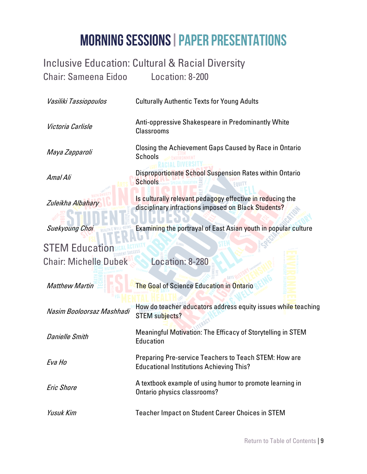#### <span id="page-8-1"></span>Inclusive Education: Cultural & Racial Diversity Chair: Sameena Eidoo Location: 8-200

<span id="page-8-0"></span>

| Vasiliki Tassiopoulos        | <b>Culturally Authentic Texts for Young Adults</b>                                                               |
|------------------------------|------------------------------------------------------------------------------------------------------------------|
| Victoria Carlisle            | Anti-oppressive Shakespeare in Predominantly White<br><b>Classrooms</b>                                          |
| Maya Zapparoli               | Closing the Achievement Gaps Caused by Race in Ontario<br>Schools                                                |
| Amal Ali                     | Disproportionate School Suspension Rates within Ontario<br><b>Schools</b>                                        |
| Zuleikha Albahary            | Is culturally relevant pedagogy effective in reducing the<br>disciplinary infractions imposed on Black Students? |
| Suekyoung Choi               | Examining the portrayal of East Asian youth in popular culture                                                   |
| <b>STEM Education</b>        |                                                                                                                  |
| <b>Chair: Michelle Dubek</b> | Location: 8-280                                                                                                  |
| <b>Matthew Martin</b>        | <b>The Goal of Science Education in Ontario</b>                                                                  |
| Nasim Booloorsaz Mashhadi    | How do teacher educators address equity issues while teaching<br>STEM subjects?                                  |
| <b>Danielle Smith</b>        | Meaningful Motivation: The Efficacy of Storytelling in STEM<br>Education                                         |
| Eva Ho                       | Preparing Pre-service Teachers to Teach STEM: How are<br><b>Educational Institutions Achieving This?</b>         |
| Eric Shore                   | A textbook example of using humor to promote learning in<br>Ontario physics classrooms?                          |
| <b>Yusuk Kim</b>             | <b>Teacher Impact on Student Career Choices in STEM</b>                                                          |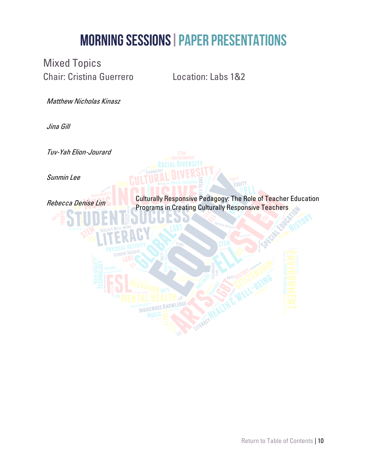<span id="page-9-0"></span>Mixed Topics Chair: Cristina Guerrero Location: Labs 1&2

Matthew Nicholas Kinasz

Jina Gill

Tuv-Yah Elion-Jourard

Sunmin Lee

Rebecca Denise Lim

Culturally Responsive Pedagogy: The Role of Teacher Education Programs in Creating Culturally Responsive Teachers

**EQUITY** 

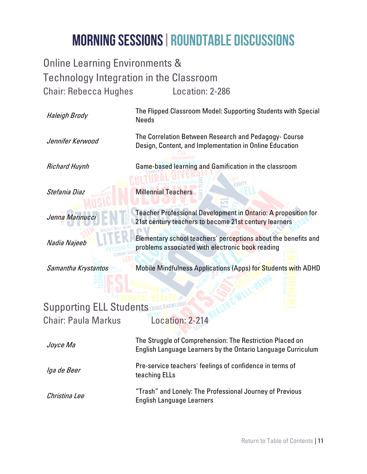<span id="page-10-0"></span>Online Learning Environments & Technology Integration in the Classroom Chair: Rebecca Hughes Location: 2-286

<span id="page-10-1"></span>

| Haleigh Brody                       | The Flipped Classroom Model: Supporting Students with Special<br><b>Needs</b>                                            |
|-------------------------------------|--------------------------------------------------------------------------------------------------------------------------|
| Jennifer Kerwood                    | The Correlation Between Research and Pedagogy- Course<br>Design, Content, and Implementation in Online Education         |
| <b>Richard Huynh</b>                | Game-based learning and Gamification in the classroom                                                                    |
| Stefania Diaz                       | FA UNI<br><b>Millennial Teachers</b>                                                                                     |
| Jenna Marinucci                     | Teacher Professional Development in Ontario: A proposition for<br>21st century teachers to become 21st century learners  |
| Nadia Najeeb                        | Elementary school teachers' perceptions about the benefits and<br>problems associated with electronic book reading       |
|                                     |                                                                                                                          |
| Samantha Krystantos                 | Mobile Mindfulness Applications (Apps) for Students with ADHD                                                            |
|                                     |                                                                                                                          |
| <b>Supporting ELL Students MOUS</b> |                                                                                                                          |
| <b>Chair: Paula Markus</b>          | Location: 2-214                                                                                                          |
| Joyce Ma                            | The Struggle of Comprehension: The Restriction Placed on<br>English Language Learners by the Ontario Language Curriculum |
| Iga de Beer                         | Pre-service teachers' feelings of confidence in terms of<br>teaching ELLs                                                |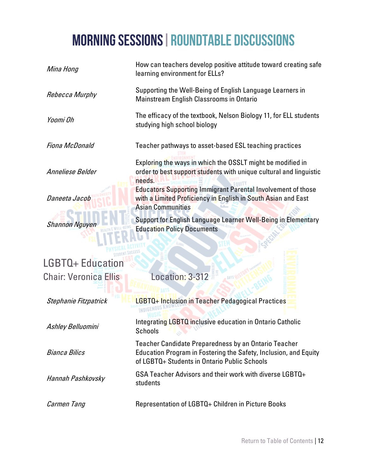<span id="page-11-0"></span>

| Mina Hong                    | How can teachers develop positive attitude toward creating safe<br>learning environment for ELLs?                                                                               |
|------------------------------|---------------------------------------------------------------------------------------------------------------------------------------------------------------------------------|
| Rebecca Murphy               | Supporting the Well-Being of English Language Learners in<br>Mainstream English Classrooms in Ontario                                                                           |
| Yoomi Oh                     | The efficacy of the textbook, Nelson Biology 11, for ELL students<br>studying high school biology                                                                               |
| Fiona McDonald               | Teacher pathways to asset-based ESL teaching practices                                                                                                                          |
| Anneliese Belder             | Exploring the ways in which the OSSLT might be modified in<br>order to best support students with unique cultural and linguistic<br>needs.                                      |
| Daneeta Jacob                | <b>Educators Supporting Immigrant Parental Involvement of those</b><br>with a Limited Proficiency in English in South Asian and East<br><b>Asian Communities</b>                |
| <b>Shannon Nguyen</b>        | Support for English Language Learner Well-Being in Elementary<br><b>Education Policy Documents</b>                                                                              |
| <b>LGBTQ+ Education</b>      |                                                                                                                                                                                 |
|                              |                                                                                                                                                                                 |
| <b>Chair: Veronica Ellis</b> | Location: 3-312                                                                                                                                                                 |
| Stephanie Fitzpatrick        | LGBTQ+ Inclusion in Teacher Pedagogical Practices                                                                                                                               |
| Ashley Belluomini            | Integrating LGBTQ inclusive education in Ontario Catholic<br>Schools<br>$\mathbb{F}_{\infty}$<br>- 7                                                                            |
| Bianca Bilics                | <b>Teacher Candidate Preparedness by an Ontario Teacher</b><br>Education Program in Fostering the Safety, Inclusion, and Equity<br>of LGBTQ+ Students in Ontario Public Schools |
| Hannah Pashkovsky            | GSA Teacher Advisors and their work with diverse LGBTQ+<br>students                                                                                                             |
| Carmen Tang                  | Representation of LGBTQ+ Children in Picture Books                                                                                                                              |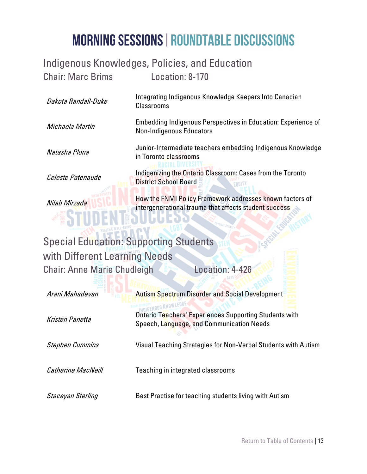#### <span id="page-12-0"></span>Indigenous Knowledges, Policies, and Education Chair: Marc Brims Location: 8-170

Dakota Randall-Duke Integrating Indigenous Knowledge Keepers Into Canadian Classrooms Michaela Martin Embedding Indigenous Perspectives in Education: Experience of Non-Indigenous Educators Natasha Plona Junior-Intermediate teachers embedding Indigenous Knowledge in Toronto classrooms Celeste Patenaude Indigenizing the Ontario Classroom: Cases from the Toronto District School Board

> How the FNMI Policy Framework addresses known factors of intergenerational trauma that affects student success

#### <span id="page-12-1"></span>Special Education: Supporting Students with Different Learning Needs Chair: Anne Marie Chudleigh Location: 4-426

Nilab Mirzada

| Arani Mahadevan           | <b>Autism Spectrum Disorder and Social Development</b>                                                     |
|---------------------------|------------------------------------------------------------------------------------------------------------|
| Kristen Panetta           | <b>Ontario Teachers' Experiences Supporting Students with</b><br>Speech, Language, and Communication Needs |
| <b>Stephen Cummins</b>    | Visual Teaching Strategies for Non-Verbal Students with Autism                                             |
| <b>Catherine MacNeill</b> | Teaching in integrated classrooms                                                                          |
| Staceyan Sterling         | Best Practise for teaching students living with Autism                                                     |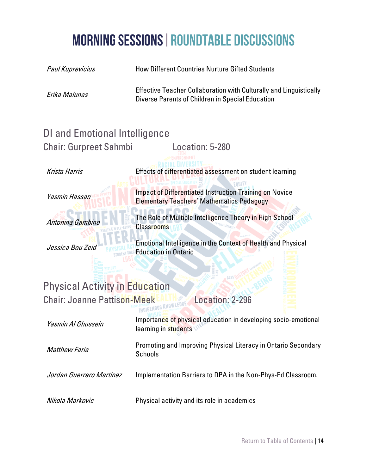<span id="page-13-1"></span><span id="page-13-0"></span>

| Paul Kuprevicius                      | <b>How Different Countries Nurture Gifted Students</b>                                                                        |
|---------------------------------------|-------------------------------------------------------------------------------------------------------------------------------|
| Erika Malunas                         | <b>Effective Teacher Collaboration with Culturally and Linguistically</b><br>Diverse Parents of Children in Special Education |
| <b>DI and Emotional Intelligence</b>  |                                                                                                                               |
| <b>Chair: Gurpreet Sahmbi</b>         | Location: 5-280                                                                                                               |
| Krista Harris                         | Effects of differentiated assessment on student learning                                                                      |
| Yasmin Hassan                         | <b>Impact of Differentiated Instruction Training on Novice</b><br><b>Elementary Teachers' Mathematics Pedagogy</b>            |
| Antonina Gambino                      | The Role of Multiple Intelligence Theory i <mark>n H</mark> igh School<br><b>Classrooms</b>                                   |
| Jessica Bou Zeid                      | Emotional Intelligence in the Context of Health and Physical<br><b>Education in Ontario</b>                                   |
| <b>Physical Activity in Education</b> |                                                                                                                               |
| <b>Chair: Joanne Pattison-Meek</b>    | Location: 2-296                                                                                                               |
| Yasmin Al Ghussein                    | Importance of physical education in developing socio-emotional<br>learning in students                                        |
| <b>Matthew Faria</b>                  | Promoting and Improving Physical Literacy in Ontario Secondary<br>Schools                                                     |
| Jordan Guerrero Martinez              | Implementation Barriers to DPA in the Non-Phys-Ed Classroom.                                                                  |
| Nikola Markovic                       | Physical activity and its role in academics                                                                                   |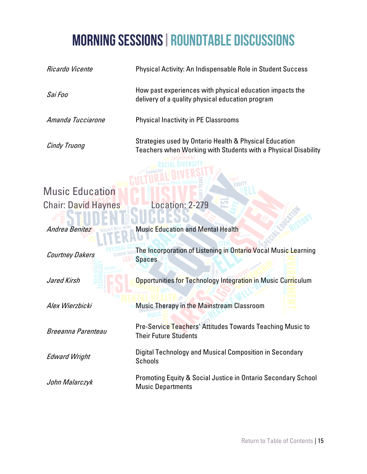<span id="page-14-0"></span>

| Ricardo Vicente            | Physical Activity: An Indispensable Role in Student Success                                                              |  |
|----------------------------|--------------------------------------------------------------------------------------------------------------------------|--|
| Sai Foo                    | How past experiences with physical education impacts the<br>delivery of a quality physical education program             |  |
| Amanda Tucciarone          | <b>Physical Inactivity in PE Classrooms</b>                                                                              |  |
| Cindy Truong               | Strategies used by Ontario Health & Physical Education<br>Teachers when Working with Students with a Physical Disability |  |
| <b>Music Education</b>     | FOUI                                                                                                                     |  |
| <b>Chair: David Haynes</b> | Location: 2-279                                                                                                          |  |
| Andrea Benitez             | <b>Music Education and Mental Health</b>                                                                                 |  |
| <b>Courtney Dakers</b>     | The Incorporation of Listening in Ontario Vocal Music Learning<br><b>Spaces</b>                                          |  |
| Jared Kirsh                | Opportunities for Technology Integration in Music Curriculum                                                             |  |
| Alex Wierzbicki            | Music Therapy in the Mainstream Classroom                                                                                |  |
| Breeanna Parenteau         | Pre-Service Teachers' Attitudes Towards Teaching Music to<br>Their Future Students                                       |  |
| <b>Edward Wright</b>       | Digital Technology and Musical Composition in Secondary<br><b>Schools</b>                                                |  |
| John Malarczyk             | <b>Promoting Equity &amp; Social Justice in Ontario Secondary School</b><br><b>Music Departments</b>                     |  |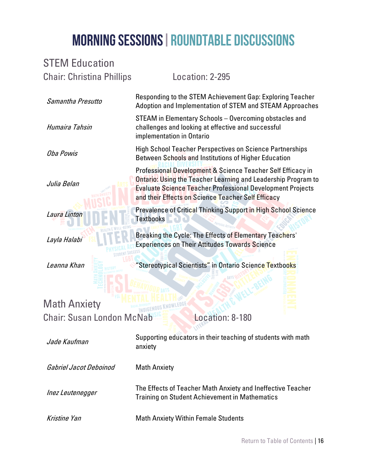#### <span id="page-15-0"></span>STEM Education Chair: Christina Phillips Location: 2-295 Samantha Presutto Responding to the STEM Achievement Gap: Exploring Teacher Adoption and Implementation of STEM and STEAM Approaches Humaira Tahsin STEAM in Elementary Schools – Overcoming obstacles and challenges and looking at effective and successful implementation in Ontario Oba Powis High School Teacher Perspectives on Science Partnerships Between Schools and Institutions of Higher Education Julia Belan Professional Development & Science Teacher Self Efficacy in Ontario: Using the Teacher Learning and Leadership Program to Evaluate Science Teacher Professional Development Projects and their Effects on Science Teacher Self Efficacy Laura Linto Prevalence of Critical Thinking Support in High School Science Textbooks Layla Halabi Breaking the Cycle: The Effects of Elementary Teachers' Experiences on Their Attitudes Towards Science Leanna Khan **The Stereotypical Scientists"** in Ontario Science Textbooks Math Anxiety Chair: Susan London McNab<sup>816</sup> Location: 8-180 Jade Kaufman Supporting educators in their teaching of students with math anxiety Gabriel Jacot Deboinod Math Anxiety Inez Leutenegger The Effects of Teacher Math Anxiety and Ineffective Teacher Training on Student Achievement in Mathematics

<span id="page-15-1"></span>Kristine Yan Math Anxiety Within Female Students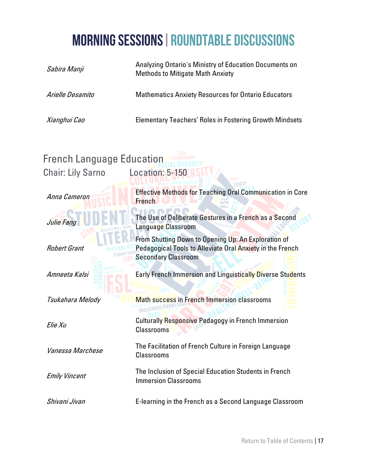<span id="page-16-0"></span>

| Sabira Manji                                                 | Analyzing Ontario's Ministry of Education Documents on<br><b>Methods to Mitigate Math Anxiety</b>                                              |  |
|--------------------------------------------------------------|------------------------------------------------------------------------------------------------------------------------------------------------|--|
| Arielle Desamito                                             | <b>Mathematics Anxiety Resources for Ontario Educators</b>                                                                                     |  |
| Xianghui Cao                                                 | <b>Elementary Teachers' Roles in Fostering Growth Mindsets</b>                                                                                 |  |
| <b>French Language Education</b><br><b>Chair: Lily Sarno</b> | Location: 5-150                                                                                                                                |  |
| Anna Cameron                                                 | <b>Effective Methods for Teaching Oral Communication in Core</b><br><b>French</b>                                                              |  |
| Julie Fang                                                   | The Use of Deliberate Gestures in a French as a Second<br>Language Classroom                                                                   |  |
| <b>Robert Grant</b>                                          | From Shutting Down to Opening Up: An Exploration of<br>Pedagogical Tools to Alleviate Oral Anxiety in the French<br><b>Secondary Classroom</b> |  |
| Amneeta Kalsi                                                | Early French Immersion and Linguistically Diverse Students                                                                                     |  |
| Tsukahara Melody                                             | <b>Math success in French Immersion classrooms</b>                                                                                             |  |
| Elie Xu                                                      | <b>Culturally Responsive Pedagogy in French Immersion</b><br>Classrooms<br><b>COLLEGE</b>                                                      |  |
| Vanessa Marchese                                             | The Facilitation of French Culture in Foreign Language<br><b>Classrooms</b>                                                                    |  |
| <b>Emily Vincent</b>                                         | The Inclusion of Special Education Students in French<br><b>Immersion Classrooms</b>                                                           |  |
| Shiyani Jiyan                                                | E-learning in the French as a Second Language Classroom                                                                                        |  |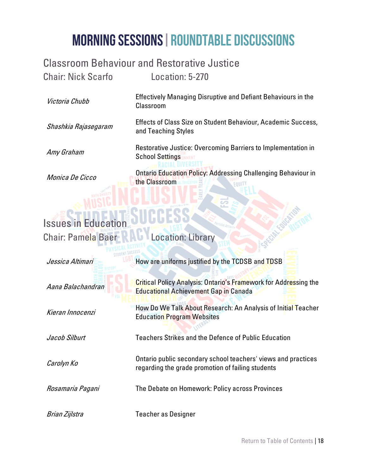#### <span id="page-17-0"></span>Classroom Behaviour and Restorative Justice

Chair: Nick Scarfo Location: 5-270

Victoria Chubb

Shashkia Rajasegaram

Amy Graham

Effectively Managing Disruptive and Defiant Behaviours in the Classroom

Effects of Class Size on Student Behaviour, Academic Success, and Teaching Styles

Restorative Justice: Overcoming Barriers to Implementation in School Settings

Ontario Education Policy: Addressing Challenging Behaviour in the Classroom

#### Monica De Cicco

## <span id="page-17-1"></span>**Issues in Edu**

Chair: Pamela Baer RAU Location: Library

| Jessica Altimari  | How are uniforms justified by the TCDSB and TDSB                                                                        |
|-------------------|-------------------------------------------------------------------------------------------------------------------------|
| Aana Balachandran | <b>Critical Policy Analysis: Ontario's Framework for Addressing the</b><br><b>Educational Achievement Gap in Canada</b> |
| Kieran Innocenzi  | How Do We Talk About Research: An Analysis of Initial Teacher<br><b>Education Program Websites</b>                      |
| Jacob Silburt     | Teachers Strikes and the Defence of Public Education                                                                    |
| Carolyn Ko        | Ontario public secondary school teachers' views and practices<br>regarding the grade promotion of failing students      |
| Rosamaria Pagani  | The Debate on Homework: Policy across Provinces                                                                         |
| Brian Zijlstra    | Teacher as Designer                                                                                                     |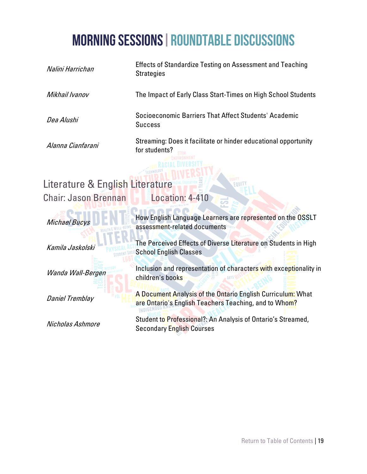<span id="page-18-0"></span>

| <b>Effects of Standardize Testing on Assessment and Teaching</b><br><b>Strategies</b>                                |  |  |
|----------------------------------------------------------------------------------------------------------------------|--|--|
| The Impact of Early Class Start-Times on High School Students                                                        |  |  |
| Socioeconomic Barriers That Affect Students' Academic<br><b>Success</b>                                              |  |  |
| Streaming: Does it facilitate or hinder educational opportunity<br>for students?                                     |  |  |
|                                                                                                                      |  |  |
| Literature & English Literature                                                                                      |  |  |
| Location: 4-410                                                                                                      |  |  |
| How English Language Learners are represented on the OSSLT<br>assessment-related documents                           |  |  |
| The Perceived Effects of Diverse Literature on Students in High<br><b>School English Classes</b>                     |  |  |
| Inclusion and representation of characters with exceptionality in<br>children's books                                |  |  |
| A Document Analysis of the Ontario English Curriculum: What<br>are Ontario's English Teachers Teaching, and to Whom? |  |  |
| Student to Professional?: An Analysis of Ontario's Streamed,<br><b>Secondary English Courses</b>                     |  |  |
|                                                                                                                      |  |  |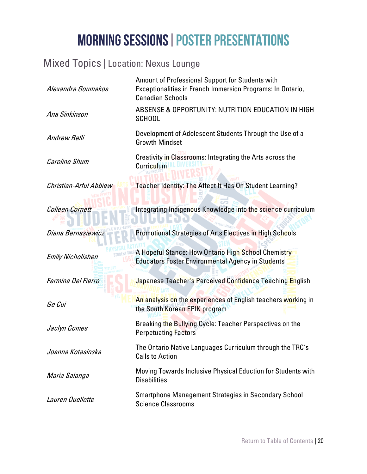#### <span id="page-19-0"></span>Mixed Topics | Location: Nexus Lounge

| Alexandra Goumakos       | Amount of Professional Support for Students with<br>Exceptionalities in French Immersion Programs: In Ontario,<br><b>Canadian Schools</b> |  |  |
|--------------------------|-------------------------------------------------------------------------------------------------------------------------------------------|--|--|
| Ana Sinkinson            | ABSENSE & OPPORTUNITY: NUTRITION EDUCATION IN HIGH<br><b>SCHOOL</b>                                                                       |  |  |
| Andrew Belli             | Development of Adolescent Students Through the Use of a<br><b>Growth Mindset</b>                                                          |  |  |
| Caroline Shum            | Creativity in Classrooms: Integrating the Arts across the<br><b>Curriculum</b>                                                            |  |  |
| Christian-Arful Abbiew   | Teacher Identity: The Affect It Has On Student Learning?                                                                                  |  |  |
| <b>Colleen Cornett</b>   | Integrating Indigenous Knowledge into the science curriculum                                                                              |  |  |
| Diana Bernasiewicz       | Promotional Strategies of Arts Electives in High Schools                                                                                  |  |  |
| <b>Emily Nicholishen</b> | A Hopeful Stance: How Ontario High School Chemistry<br><b>Educators Foster Environmental Agency in Students</b>                           |  |  |
| Fermina Del Fierro       | Japanese Teacher's Perceived Confidence Teaching English                                                                                  |  |  |
| Ge Cui                   | An analysis on the experiences of English teachers working in<br>the South Korean EPIK program                                            |  |  |
| Jaclyn Gomes             | Breaking the Bullying Cycle: Teacher Perspectives on the<br><b>Perpetuating Factors</b>                                                   |  |  |
| Joanna Kotasinska        | The Ontario Native Languages Curriculum through the TRC's<br><b>Calls to Action</b>                                                       |  |  |
| Maria Salanga            | Moving Towards Inclusive Physical Eduction for Students with<br><b>Disabilities</b>                                                       |  |  |
| Lauren Ouellette         | <b>Smartphone Management Strategies in Secondary School</b><br><b>Science Classrooms</b>                                                  |  |  |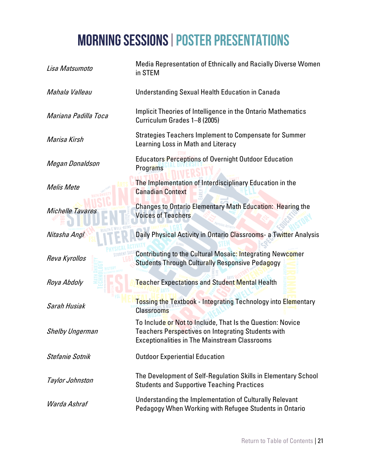| Lisa Matsumoto         | <b>Media Representation of Ethnically and Racially Diverse Women</b><br>in STEM                                                                                                 |
|------------------------|---------------------------------------------------------------------------------------------------------------------------------------------------------------------------------|
| Mahala Valleau         | <b>Understanding Sexual Health Education in Canada</b>                                                                                                                          |
| Mariana Padilla Toca   | Implicit Theories of Intelligence in the Ontario Mathematics<br>Curriculum Grades 1-8 (2005)                                                                                    |
| Marisa Kirsh           | Strategies Teachers Implement to Compensate for Summer<br>Learning Loss in Math and Literacy                                                                                    |
| Megan Donaldson        | <b>Educators Perceptions of Overnight Outdoor Education</b><br>Programs                                                                                                         |
| Melis Mete             | The Implementation of Interdisciplinary Education in the<br><b>Canadian Context</b>                                                                                             |
| Michelle Tavares       | Changes to Ontario Elementary Math Education: Hearing the<br><b>Voices of Teachers</b>                                                                                          |
| Nitasha Angl           | Daily Physical Activity in Ontario Classrooms- a Twitter Analysis                                                                                                               |
| Reva Kyrollos          | <b>Contributing to the Cultural Mosaic: Integrating Newcomer</b><br><b>Students Through Culturally Responsive Pedagogy</b>                                                      |
| Roya Abdoly            | <b>Teacher Expectations and Student Mental Health</b>                                                                                                                           |
| Sarah Husiak           | <b>Tossing the Textbook - Integrating Technology into Elementary</b><br><b>Classrooms</b>                                                                                       |
| <b>Shelby Ungerman</b> | To Include or Not to Include, That Is the Question: Novice<br><b>Teachers Perspectives on Integrating Students with</b><br><b>Exceptionalities in The Mainstream Classrooms</b> |
| Stefanie Sotnik        | <b>Outdoor Experiential Education</b>                                                                                                                                           |
| Taylor Johnston        | The Development of Self-Regulation Skills in Elementary School<br><b>Students and Supportive Teaching Practices</b>                                                             |
| Warda Ashraf           | Understanding the Implementation of Culturally Relevant<br>Pedagogy When Working with Refugee Students in Ontario                                                               |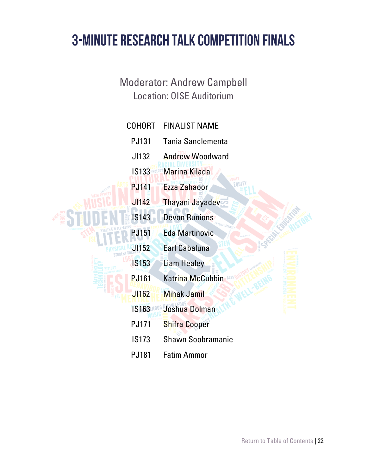#### **3-MINUTE RESEARCH TALK COMPETITION FINALS**

Moderator: Andrew Campbell Location: OISE Auditorium

| <b>COHORT</b> | <b>FINALIST NAME</b>     |
|---------------|--------------------------|
| <b>PJ131</b>  | <b>Tania Sanclementa</b> |
| JI132         | <b>Andrew Woodward</b>   |
| <b>IS133</b>  | <b>Marina Kilada</b>     |
| <b>PJ141</b>  | <b>Ezza Zahaoor</b>      |
| J1142         | Thayani Jayadev          |
| <b>IS143</b>  | <b>Devon Runions</b>     |
| <b>PJ151</b>  | <b>Eda Martinovic</b>    |
| <b>JI152</b>  | <b>Earl Cabaluna</b>     |
| <b>IS153</b>  | <b>Liam Healey</b>       |
| <b>PJ161</b>  | Katrina McCubbin         |
| J1162         | <b>Mihak Jamil</b>       |
| <b>IS163</b>  | Joshua Dolman            |
| <b>PJ171</b>  | <b>Shifra Cooper</b>     |
| <b>IS173</b>  | <b>Shawn Soobramanie</b> |
| <b>PJ181</b>  | <b>Fatim Ammor</b>       |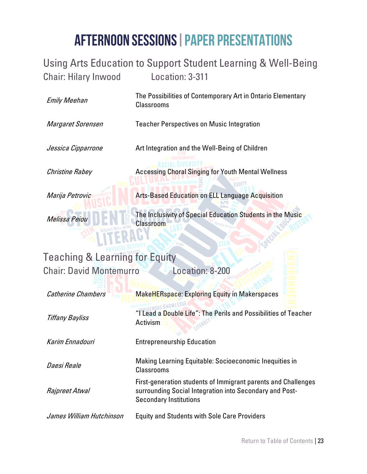#### <span id="page-22-0"></span>Using Arts Education to Support Student Learning & Well-Being Chair: Hilary Inwood Location: 3-311

The Possibilities of Contemporary Art in Ontario Elementary Classrooms

Margaret Sorensen Teacher Perspectives on Music Integration

Jessica Cipparrone **Art Integration and the Well-Being of Children Christine Rabey Choral Singing Choral Singing for Youth Mental Wellness** 

Melissa Peiou

Emily Meehan

**Marija Petrovic Arts-Based Education on ELL Language Acquisition** 

The Inclusivity of Special Education Students in the Music Classroom

#### <span id="page-22-1"></span>Teaching & Learning for Equity Chair: David Montemurro Location: 8-200

| <b>Catherine Chambers</b> | <b>MakeHERspace: Exploring Equity in Makerspaces</b>                                                                                                      |
|---------------------------|-----------------------------------------------------------------------------------------------------------------------------------------------------------|
| <b>Tiffany Bayliss</b>    | "I Lead a Double Life": The Perils and Possibilities of Teacher<br>Activism                                                                               |
| Karim Ennadouri           | <b>Entrepreneurship Education</b>                                                                                                                         |
| Daesi Reale               | Making Learning Equitable: Socioeconomic Inequities in<br><b>Classrooms</b>                                                                               |
| Rajpreet Atwal            | First-generation students of Immigrant parents and Challenges<br>surrounding Social Integration into Secondary and Post-<br><b>Secondary Institutions</b> |
| James William Hutchinson  | <b>Equity and Students with Sole Care Providers</b>                                                                                                       |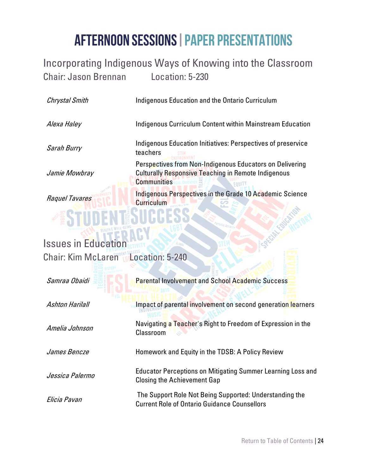#### <span id="page-23-0"></span>Incorporating Indigenous Ways of Knowing into the Classroom Chair: Jason Brennan Location: 5-230

<span id="page-23-1"></span>

| <b>Chrystal Smith</b>                     | Indigenous Education and the Ontario Curriculum                                                                                              |  |
|-------------------------------------------|----------------------------------------------------------------------------------------------------------------------------------------------|--|
| Alexa Haley                               | <b>Indigenous Curriculum Content within Mainstream Education</b>                                                                             |  |
| Sarah Burry                               | Indigenous Education Initiatives: Perspectives of preservice<br>teachers                                                                     |  |
| Jamie Mowbray                             | Perspectives from Non-Indigenous Educators on Delivering<br><b>Culturally Responsive Teaching in Remote Indigenous</b><br><b>Communities</b> |  |
| Raquel Tavares                            | Indigenous Perspectives in the Grade 10 Academic Science<br><b>Curriculum</b>                                                                |  |
|                                           |                                                                                                                                              |  |
| <b>Issues in Education</b>                |                                                                                                                                              |  |
| <b>Chair: Kim McLaren Location: 5-240</b> |                                                                                                                                              |  |
| Samraa Obaidi                             | <b>Parental Involvement and School Academic Success</b>                                                                                      |  |
| <b>Ashton Harilall</b>                    | Impact of parental involvement on second generation learners                                                                                 |  |
| Amelia Johnson                            | Navigating a Teacher's Right to Freedom of Expression in the<br>Classroom                                                                    |  |
| James Bencze                              | Homework and Equity in the TDSB: A Policy Review                                                                                             |  |
| Jessica Palermo                           | <b>Educator Perceptions on Mitigating Summer Learning Loss and</b><br><b>Closing the Achievement Gap</b>                                     |  |
| Elicia Pavan                              | The Support Role Not Being Supported: Understanding the<br><b>Current Role of Ontario Guidance Counsellors</b>                               |  |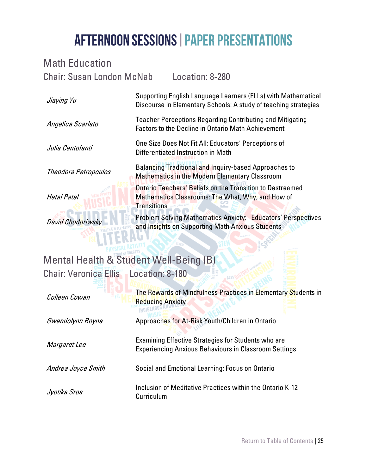<span id="page-24-1"></span><span id="page-24-0"></span>

| <b>Math Education</b>                        |                                                                                                                                  |                                                                                                                            |  |
|----------------------------------------------|----------------------------------------------------------------------------------------------------------------------------------|----------------------------------------------------------------------------------------------------------------------------|--|
| <b>Chair: Susan London McNab</b>             |                                                                                                                                  | Location: 8-280                                                                                                            |  |
| Jiaying Yu                                   | Supporting English Language Learners (ELLs) with Mathematical<br>Discourse in Elementary Schools: A study of teaching strategies |                                                                                                                            |  |
| Angelica Scarlato                            | <b>Teacher Perceptions Regarding Contributing and Mitigating</b><br><b>Factors to the Decline in Ontario Math Achievement</b>    |                                                                                                                            |  |
| Julia Centofanti                             |                                                                                                                                  | One Size Does Not Fit All: Educators' Perceptions of<br>Differentiated Instruction in Math                                 |  |
| Theodora Petropoulos                         |                                                                                                                                  | Balancing Traditional and Inquiry-based Approaches to<br><b>Mathematics in the Modern Elementary Classroom</b>             |  |
| <b>Hetal Patel</b>                           | <b>Transitions</b>                                                                                                               | <b>Ontario Teachers' Beliefs on the Transition to Destreamed</b><br>Mathematics Classrooms: The What, Why, and How of      |  |
| David Chodoriwsky                            |                                                                                                                                  | Problem Solving Mathematics Anxiety: Educators' Perspectives<br>and Insights on Supporting Math Anxious Students           |  |
| Mental Health & Student Well-Being (B)       |                                                                                                                                  |                                                                                                                            |  |
| <b>Chair: Veronica Ellis Location: 8-180</b> |                                                                                                                                  |                                                                                                                            |  |
| Colleen Cowan                                | <b>Reducing Anxiety</b>                                                                                                          | The Rewards of Mindfulness Practices in Elementary Students in                                                             |  |
| Gwendolynn Boyne                             |                                                                                                                                  | Approaches for At-Risk Youth/Children in Ontario                                                                           |  |
| Margaret Lee                                 |                                                                                                                                  | <b>Examining Effective Strategies for Students who are</b><br><b>Experiencing Anxious Behaviours in Classroom Settings</b> |  |
| Andrea Joyce Smith                           |                                                                                                                                  | Social and Emotional Learning: Focus on Ontario                                                                            |  |
| Jyotika Sroa                                 | Curriculum                                                                                                                       | Inclusion of Meditative Practices within the Ontario K-12                                                                  |  |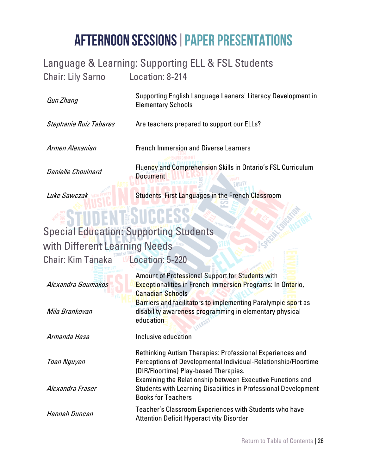## <span id="page-25-0"></span>Language & Learning: Supporting ELL & FSL Students

**Document** 

Chair: Lily Sarno Location: 8-214

Supporting English Language Leaners' Literacy Development in Elementary Schools

Stephanie Ruiz Tabares Are teachers prepared to support our ELLs?

Qun Zhang

Armen Alexanian **French Immersion and Diverse Learners** Fluency and Comprehension Skills in Ontario's FSL Curriculum

Danielle Chouinard

Luke Sawczak MARANAET Students' First Languages in the French Classroom

FOUIT

## <span id="page-25-1"></span>Special Education: Supporting Students

#### with Different Learning Needs

Chair: Kim Tanaka La Location: 5-220

Alexandra Goumakos Amount of Professional Support for Students with Exceptionalities in French Immersion Programs: In Ontario, Canadian Schools Mila Brankovan Barriers and facilitators to implementing Paralympic sport as disability awareness programming in elementary physical education Armanda Hasa **Inclusive education** Toan Nguyen Rethinking Autism Therapies: Professional Experiences and Perceptions of Developmental Individual-Relationship/Floortime (DIR/Floortime) Play-based Therapies. Alexandra Fraser Examining the Relationship between Executive Functions and Students with Learning Disabilities in Professional Development Books for Teachers Hannah Duncan Teacher's Classroom Experiences with Students who have

Attention Deficit Hyperactivity Disorder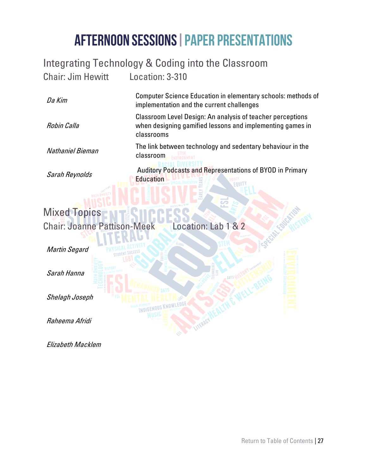#### <span id="page-26-0"></span>Integrating Technology & Coding into the Classroom

**INDIGENOUS** 

Chair: Jim Hewitt Location: 3-310

Computer Science Education in elementary schools: methods of implementation and the current challenges

> Classroom Level Design: An analysis of teacher perceptions when designing gamified lessons and implementing games in classrooms

The link between technology and sedentary behaviour in the **classroom STEM** 

Auditory Podcasts and Representations of BYOD in Primary **Education** 

#### Sarah Reynolds

Nathaniel Bieman

Da Kim

Robin Calla

#### Mixed Topics Chair: Joanne Pattison-Meek Location: Lab 1 & 2

Martin Segard

Sarah Hanna

Shelagh Joseph

Raheema Afridi

Elizabeth Macklem

[Return to Table of Contents](#page-2-0) | 27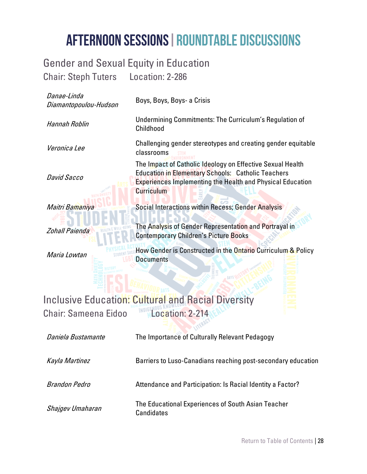#### <span id="page-27-0"></span>Gender and Sexual Equity in Education Chair: Steph Tuters Location: 2-286

| Danae-Linda<br>Diamantopoulou-Hudson | Boys, Boys, Boys- a Crisis                                                                                                                                                                                        |  |
|--------------------------------------|-------------------------------------------------------------------------------------------------------------------------------------------------------------------------------------------------------------------|--|
| Hannah Roblin                        | Undermining Commitments: The Curriculum's Regulation of<br>Childhood                                                                                                                                              |  |
| Veronica Lee                         | Challenging gender stereotypes and creating gender equitable<br>classrooms                                                                                                                                        |  |
| <b>David Sacco</b>                   | The Impact of Catholic Ideology on Effective Sexual Health<br><b>Education in Elementary Schools: Catholic Teachers</b><br><b>Experiences Implementing the Health and Physical Education</b><br><b>Curriculum</b> |  |
| Maitri Bamaniya                      | Social Interactions within Recess; Gender Analysis                                                                                                                                                                |  |
| <b>Zohall Paienda</b>                | The Analysis of Gender Representation and Portrayal in<br><b>Contemporary Children's Picture Books</b>                                                                                                            |  |
| Maria Lowtan                         | How Gender is Constructed in the Ontario Curriculum & Policy<br><b>Documents</b>                                                                                                                                  |  |
|                                      |                                                                                                                                                                                                                   |  |
|                                      | <b>Inclusive Education: Cultural and Racial Diversity</b>                                                                                                                                                         |  |
| <b>Chair: Sameena Eidoo</b>          | Location: 2-214                                                                                                                                                                                                   |  |
| Daniela Bustamante                   | The Importance of Culturally Relevant Pedagogy                                                                                                                                                                    |  |
|                                      |                                                                                                                                                                                                                   |  |

<span id="page-27-1"></span>Kayla Martinez **Barriers to Luso-Canadians reaching post-secondary education** 

Brandon Pedro **Attendance and Participation: Is Racial Identity a Factor?** 

Shajgev Umaharan The Educational Experiences of South Asian Teacher **Candidates**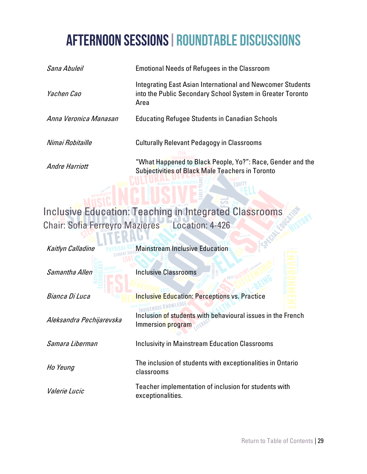| Sana Abuleil          | <b>Emotional Needs of Refugees in the Classroom</b>                                                                              |
|-----------------------|----------------------------------------------------------------------------------------------------------------------------------|
| Yachen Cao            | Integrating East Asian International and Newcomer Students<br>into the Public Secondary School System in Greater Toronto<br>Area |
| Anna Veronica Manasan | <b>Educating Refugee Students in Canadian Schools</b>                                                                            |
| Nimai Robitaille      | <b>Culturally Relevant Pedagogy in Classrooms</b>                                                                                |
| Andre Harriott        | "What Happened to Black People, Yo?": Race, Gender and the<br><b>Subjectivities of Black Male Teachers in Toronto</b>            |

FOULT

#### <span id="page-28-0"></span>Inclusive Education: Teaching in Integrated Classrooms Chair: Sofia Ferreyro Mazieres Location: 4-426

| Kaitlyn Calladine        | <b>Mainstream Inclusive Education</b>                                            |
|--------------------------|----------------------------------------------------------------------------------|
| Samantha Allen           | <b>Inclusive Classrooms</b>                                                      |
| Bianca Di Luca           | <b>Inclusive Education: Perceptions vs. Practice</b>                             |
| Aleksandra Pechijarevska | Inclusion of students with behavioural issues in the French<br>Immersion program |
| Samara Liberman          | <b>Inclusivity in Mainstream Education Classrooms</b>                            |
| Ho Yeung                 | The inclusion of students with exceptionalities in Ontario<br>classrooms         |
| <i>Valerie Lucic</i>     | Teacher implementation of inclusion for students with<br>exceptionalities.       |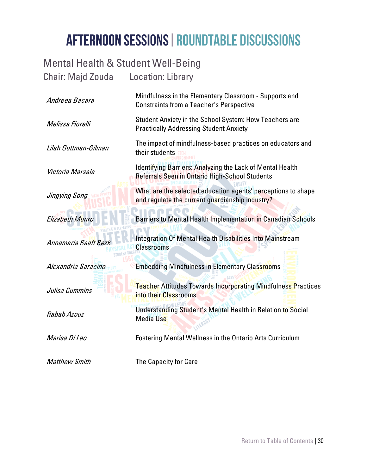#### <span id="page-29-0"></span>Mental Health & Student Well-Being Chair: Majd Zouda Location: Library

| Andreea Bacara       | Mindfulness in the Elementary Classroom - Supports and<br><b>Constraints from a Teacher's Perspective</b>       |
|----------------------|-----------------------------------------------------------------------------------------------------------------|
| Melissa Fiorelli     | Student Anxiety in the School System: How Teachers are<br><b>Practically Addressing Student Anxiety</b>         |
| Lilah Guttman-Gilman | The impact of mindfulness-based practices on educators and<br>their students                                    |
| Victoria Marsala     | Identifying Barriers: Analyzing the Lack of Mental Health<br>Referrals Seen in Ontario High-School Students     |
| Jingying Song        | What are the selected education agents' perceptions to shape<br>and regulate the current guardianship industry? |
| Elizabeth Munro      | Barriers to Mental Health Implementation in Canadian Schools                                                    |
| Annamaria Raaft Rezk | Integration Of Mental Health Disabilities Into Mainstream<br><b>Classrooms</b>                                  |
| Alexandria Saracino  | <b>Embedding Mindfulness in Elementary Classrooms</b>                                                           |
| Julisa Cummins       | <b>Teacher Attitudes Towards Incorporating Mindfulness Practices</b><br>into their Classrooms                   |
| Rabab Azouz          | Understanding Student's Mental Health in Relation to Social<br><b>Media Use</b>                                 |
| Marisa Di Leo        | <b>Fostering Mental Wellness in the Ontario Arts Curriculum</b>                                                 |
| <b>Matthew Smith</b> | The Capacity for Care                                                                                           |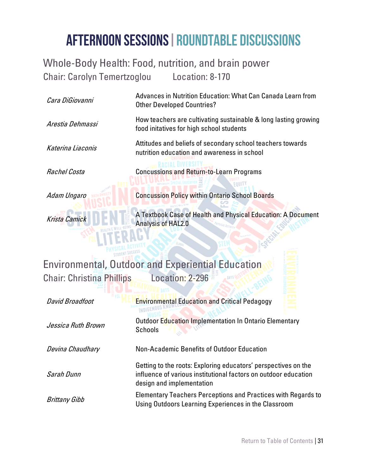Advances in Nutrition Education: What Can Canada Learn from

#### <span id="page-30-0"></span>Whole-Body Health: Food, nutrition, and brain power Chair: Carolyn Temertzoglou Location: 8-170

| Cara DiGiovanni                  | Advances in Nutrition Equcation. What Can Canada Learn Holli<br><b>Other Developed Countries?</b>                                                              |
|----------------------------------|----------------------------------------------------------------------------------------------------------------------------------------------------------------|
| Arestia Dehmassi                 | How teachers are cultivating sustainable & long lasting growing<br>food initatives for high school students                                                    |
| Katerina Liaconis                | Attitudes and beliefs of secondary school teachers towards<br>nutrition education and awareness in school                                                      |
| Rachel Costa                     | <b>Concussions and Return-to-Learn Programs</b>                                                                                                                |
| Adam Ungaro                      | <b>Concussion Policy within Ontario School Boards</b>                                                                                                          |
| Krista Camick                    | A Textbook Case of Health and Physical Education: A Document<br>Analysis of HAL2.0                                                                             |
|                                  |                                                                                                                                                                |
|                                  | <b>Environmental, Outdoor and Experiential Education</b>                                                                                                       |
| <b>Chair: Christina Phillips</b> | Location: 2-296                                                                                                                                                |
| <b>David Broadfoot</b>           | <b>Environmental Education and Critical Pedagogy</b><br>INDIGEN                                                                                                |
| Jessica Ruth Brown               | Outdoor Education Implementation In Ontario Elementary<br><b>Schools</b>                                                                                       |
| Devina Chaudhary                 | Non-Academic Benefits of Outdoor Education                                                                                                                     |
| Sarah Dunn                       | Getting to the roots: Exploring educators' perspectives on the<br>influence of various institutional factors on outdoor education<br>design and implementation |

<span id="page-30-1"></span>Brittany Gibb Elementary Teachers Perceptions and Practices with Regards to Using Outdoors Learning Experiences in the Classroom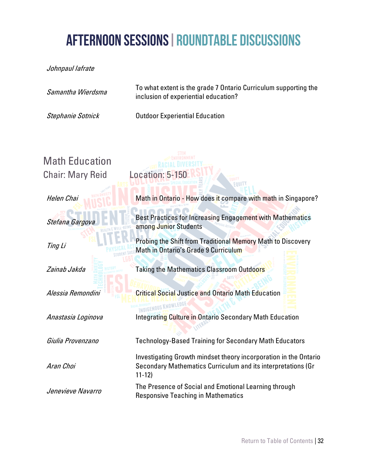Johnpaul Iafrate

<span id="page-31-0"></span>

| Samantha Wierdsma       | To what extent is the grade 7 Ontario Curriculum supporting the<br>inclusion of experiential education?                                       |
|-------------------------|-----------------------------------------------------------------------------------------------------------------------------------------------|
| Stephanie Sotnick       | <b>Outdoor Experiential Education</b>                                                                                                         |
|                         |                                                                                                                                               |
| <b>Math Education</b>   |                                                                                                                                               |
| <b>Chair: Mary Reid</b> | Location: 5-150<br><b>EQUITY</b>                                                                                                              |
| Helen Chai              | Math in Ontario - How does it compare with math in Singapore?                                                                                 |
| Stefana Gargova         | <b>Best Practices for Increasing Engagement with Mathematics</b><br>among Junior Students                                                     |
| Ting Li                 | Probing the Shift from Traditional Memory Math to Discovery<br>Math in Ontario's Grade 9 Curriculum                                           |
| Zainab Jakda            | <b>Taking the Mathematics Classroom Outdoors</b>                                                                                              |
| Alessia Remondini       | <b>Critical Social Justice and Ontario Math Education</b><br><b>INDIGENOUS KNOWLEDG</b>                                                       |
| Anastasia Loginova      | Integrating Culture in Ontario Secondary Math Education                                                                                       |
| Giulia Provenzano       | <b>Technology-Based Training for Secondary Math Educators</b>                                                                                 |
| Aran Choi               | Investigating Growth mindset theory incorporation in the Ontario<br>Secondary Mathematics Curriculum and its interpretations (Gr<br>$11 - 12$ |
| Jenevieve Navarro       | The Presence of Social and Emotional Learning through<br><b>Responsive Teaching in Mathematics</b>                                            |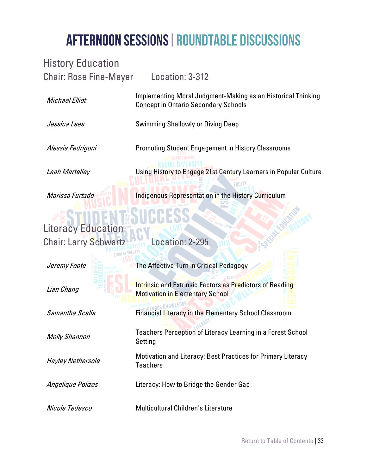#### <span id="page-32-0"></span>History Education Chair: Rose Fine-Meyer Location: 3-312

Concept in Ontario Secondary Schools

Michael Elliot

Jessica Lees Swimming Shallowly or Diving Deep

Alessia Fedrigoni Promoting Student Engagement in History Classrooms Leah Martelley Using History to Engage 21st Century Learners in Popular Culture

Implementing Moral Judgment-Making as an Historical Thinking

**Marissa Furtado Indigenous Representation in the History Curriculum** 

#### <span id="page-32-1"></span>Literacy Education

Chair: Larry Schwartz Location: 2-295

STUDENT

| Jeremy Foote             | The Affective Turn in Critical Pedagogy                                                                   |
|--------------------------|-----------------------------------------------------------------------------------------------------------|
| Lian Chang               | <b>Intrinsic and Extrinsic Factors as Predictors of Reading</b><br><b>Motivation in Elementary School</b> |
| Samantha Scalia          | <b>Financial Literacy in the Elementary School Classroom</b>                                              |
| <b>Molly Shannon</b>     | Teachers Perception of Literacy Learning in a Forest School<br>Setting                                    |
| <b>Hayley Nethersole</b> | <b>Motivation and Literacy: Best Practices for Primary Literacy</b><br><b>Teachers</b>                    |
| Angelique Polizos        | Literacy: How to Bridge the Gender Gap                                                                    |
| Nicole Tedesco           | Multicultural Children's Literature                                                                       |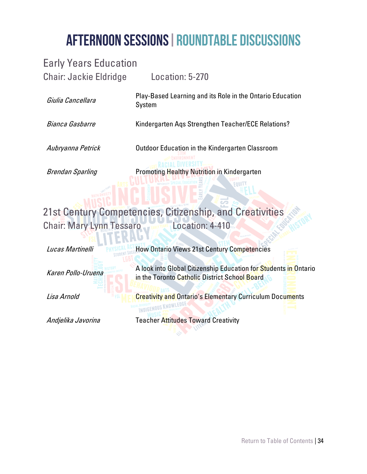#### <span id="page-33-0"></span>Early Years Education

Chair: Jackie Eldridge Location: 5-270 Giulia Cancellara Play-Based Learning and its Role in the Ontario Education System Bianca Gasbarre Kindergarten Aqs Strengthen Teacher/ECE Relations? Aubryanna Petrick **Outdoor Education in the Kindergarten Classroom** Brendan Sparling **Promoting Healthy Nutrition in Kindergarten** 

#### <span id="page-33-1"></span>21st Century Competencies, Citizenship, and Creativities Chair: Mary Lynn Tessaro Mary Location: 4-410

**Lucas Martinelli How Ontario Views 21st Century Competencies** Karen Pollo-Uruena A look into Global Citizenship Education for Students in Ontario in the Toronto Catholic District School Board Lisa Arnold **Creativity and Ontario's Elementary Curriculum Documents** Andielika Javorina Teacher Attitudes Toward Creativity

[Return to Table of Contents](#page-2-0) | 34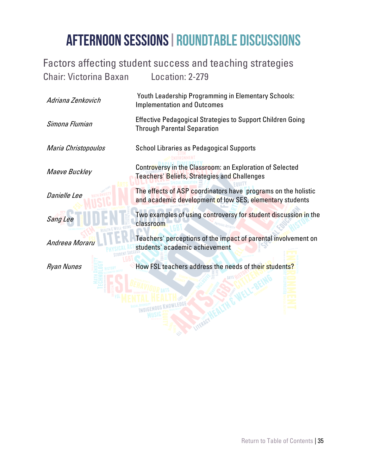#### <span id="page-34-0"></span>Factors affecting student success and teaching strategies Chair: Victorina Baxan Location: 2-279

| Adriana Zenkovich   | Youth Leadership Programming in Elementary Schools:<br><b>Implementation and Outcomes</b>                                 |
|---------------------|---------------------------------------------------------------------------------------------------------------------------|
| Simona Flumian      | <b>Effective Pedagogical Strategies to Support Children Going</b><br><b>Through Parental Separation</b>                   |
| Maria Christopoulos | <b>School Libraries as Pedagogical Supports</b>                                                                           |
| Maeve Buckley       | Controversy in the Classroom: an Exploration of Selected<br><b>Teachers' Beliefs, Strategies and Challenges</b>           |
| <b>Danielle Lee</b> | The effects of ASP coordinators have programs on the holistic<br>and academic development of low SES, elementary students |
| Sang Lee            | Two examples of using controversy for student discussion in the<br>classroom                                              |
| Andreea Moraru      | Teachers' perceptions of the impact of parental involvement on<br>students' academic achievement                          |
| Ryan Nunes          | How FSL teachers address the needs of their students?                                                                     |
|                     |                                                                                                                           |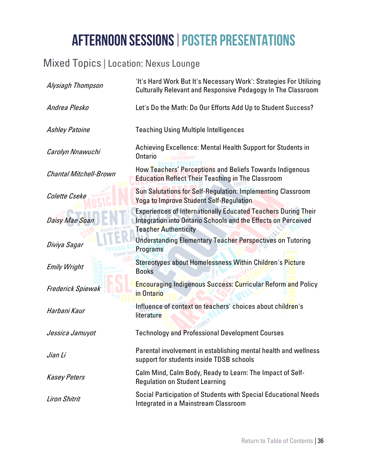#### <span id="page-35-0"></span>Mixed Topics | Location: Nexus Lounge

| Alysiagh Thompson             | 'It's Hard Work But It's Necessary Work': Strategies For Utilizing<br>Culturally Relevant and Responsive Pedagogy In The Classroom                                   |
|-------------------------------|----------------------------------------------------------------------------------------------------------------------------------------------------------------------|
| Andrea Plesko                 | Let's Do the Math: Do Our Efforts Add Up to Student Success?                                                                                                         |
| <b>Ashley Patoine</b>         | <b>Teaching Using Multiple Intelligences</b>                                                                                                                         |
| Carolyn Nnawuchi              | Achieving Excellence: Mental Health Support for Students in<br><b>Ontario</b>                                                                                        |
| <b>Chantal Mitchell-Brown</b> | How Teachers' Perceptions and Beliefs Towards Indigenous<br><b>Education Reflect Their Teaching in The Classroom</b>                                                 |
| Colette Cseke                 | Sun Salutations for Self-Regulation: Implementing Classroom<br><b>Yoga to Improve Student Self-Regulation</b>                                                        |
| Daisy Mae Soan                | <b>Experiences of Internationally Educated Teachers During Their</b><br>Integration into Ontario Schools and the Effects on Perceived<br><b>Teacher Authenticity</b> |
| Diviya Sagar                  | <b>Understanding Elementary Teacher Perspectives on Tutoring</b><br>Programs                                                                                         |
| <b>Emily Wright</b>           | Stereotypes about Homelessness Within Children's Picture<br><b>Books</b>                                                                                             |
| Frederick Spiewak             | <b>Encouraging Indigenous Success: Curricular Reform and Policy</b><br>in Ontario                                                                                    |
| Harbani Kaur                  | Influence of context on teachers' choices about children's<br>literature                                                                                             |
| Jessica Jamuyot               | <b>Technology and Professional Development Courses</b>                                                                                                               |
| Jian Li                       | Parental involvement in establishing mental health and wellness<br>support for students inside TDSB schools                                                          |
| <b>Kasey Peters</b>           | Calm Mind, Calm Body, Ready to Learn: The Impact of Self-<br><b>Regulation on Student Learning</b>                                                                   |
| <b>Liron Shitrit</b>          | Social Participation of Students with Special Educational Needs<br>Integrated in a Mainstream Classroom                                                              |